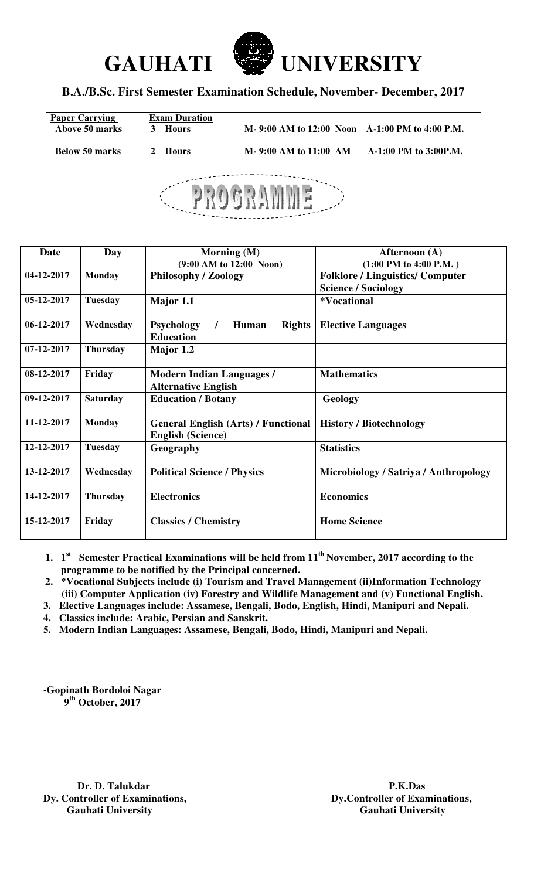



## **B.A./B.Sc. First Semester Examination Schedule, November- December, 2017**

| <b>Paper Carrying</b><br>Above 50 marks | <b>Exam Duration</b><br>Hours<br>3 | M-9:00 AM to 12:00 Noon A-1:00 PM to 4:00 P.M. |                       |
|-----------------------------------------|------------------------------------|------------------------------------------------|-----------------------|
| <b>Below 50 marks</b>                   | 2 Hours                            | M-9:00 AM to 11:00 AM                          | A-1:00 PM to 3:00P.M. |



| Date             | Day             | Morning $(M)$                                                          | Afternoon (A)                           |
|------------------|-----------------|------------------------------------------------------------------------|-----------------------------------------|
|                  |                 | $(9:00 \text{ AM to } 12:00 \text{ Noon})$                             | $(1:00$ PM to $4:00$ P.M.)              |
| 04-12-2017       | <b>Monday</b>   | <b>Philosophy / Zoology</b>                                            | <b>Folklore / Linguistics/ Computer</b> |
|                  |                 |                                                                        | <b>Science / Sociology</b>              |
| 05-12-2017       | <b>Tuesday</b>  | Major 1.1                                                              | <i><b>*Vocational</b></i>               |
| 06-12-2017       | Wednesday       | <b>Rights</b><br><b>Psychology</b><br>Human<br><b>Education</b>        | <b>Elective Languages</b>               |
| $07 - 12 - 2017$ | <b>Thursday</b> | Major 1.2                                                              |                                         |
| 08-12-2017       | Friday          | <b>Modern Indian Languages /</b><br><b>Alternative English</b>         | <b>Mathematics</b>                      |
| 09-12-2017       | <b>Saturday</b> | <b>Education / Botany</b>                                              | Geology                                 |
| 11-12-2017       | <b>Monday</b>   | <b>General English (Arts) / Functional</b><br><b>English (Science)</b> | <b>History / Biotechnology</b>          |
| 12-12-2017       | <b>Tuesday</b>  | Geography                                                              | <b>Statistics</b>                       |
| 13-12-2017       | Wednesday       | <b>Political Science / Physics</b>                                     | Microbiology / Satriya / Anthropology   |
| 14-12-2017       | <b>Thursday</b> | <b>Electronics</b>                                                     | <b>Economics</b>                        |
| 15-12-2017       | Friday          | <b>Classics / Chemistry</b>                                            | <b>Home Science</b>                     |

- **1. 1 st Semester Practical Examinations will be held from 11th November, 2017 according to the programme to be notified by the Principal concerned.**
- **2. \*Vocational Subjects include (i) Tourism and Travel Management (ii)Information Technology (iii) Computer Application (iv) Forestry and Wildlife Management and (v) Functional English.**
- **3. Elective Languages include: Assamese, Bengali, Bodo, English, Hindi, Manipuri and Nepali.**
- **4. Classics include: Arabic, Persian and Sanskrit.**
- **5. Modern Indian Languages: Assamese, Bengali, Bodo, Hindi, Manipuri and Nepali.**

**-Gopinath Bordoloi Nagar 9th October, 2017** 

**Dy. Controller of Examinations, Controller of Examinations, Cauhati University Cauhati University Gauhati University Gauhati University** 

**Dr. D. Talukdar P.K.Das P.K.Das P.K.Das P.K.Das P.K.Das P.K.Das P.K.Das P.K.Das P.K.Das P.K.Das P.K.Das P.K.Das P.K.Das P.K.Das P.K.Das P.K.Das P.K.Das P.K.Das P.K.Das P.M.Das P.M**